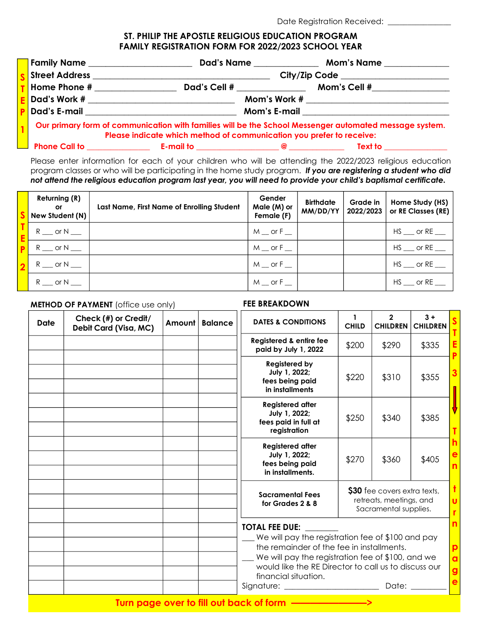# Date Registration Received: \_\_\_\_\_\_\_\_\_\_\_\_

#### ST. PHILIP THE APOSTLE RELIGIOUS EDUCATION PROGRAM FAMILY REGISTRATION FORM FOR 2022/2023 SCHOOL YEAR

| Family Name _                                                                                                                                                                  |              | Dad's Name   | <b>Mom's Name</b> |  |
|--------------------------------------------------------------------------------------------------------------------------------------------------------------------------------|--------------|--------------|-------------------|--|
| <b>Street Address</b>                                                                                                                                                          |              |              |                   |  |
| Home Phone #                                                                                                                                                                   | Dad's Cell # |              | Mom's Cell #      |  |
| Dad's Work #                                                                                                                                                                   |              | Mom's Work # |                   |  |
| Dad's E-mail                                                                                                                                                                   |              | Mom's E-mail |                   |  |
| Our primary form of communication with families will be the School Messenger automated message system.<br>Please indicate which method of communication you prefer to receive: |              |              |                   |  |

|                              | . |
|------------------------------|---|
|                              |   |
|                              |   |
| $\blacksquare$ Dhana Call ta |   |
|                              |   |

 $\begin{array}{ccc} \text{E-mail to} \end{array}$ 

Please enter information for each of your children who will be attending the 2022/2023 religious education program classes or who will be participating in the home study program. If you are registering a student who did not attend the religious education program last year, you will need to provide your child's baptismal certificate.

| <b>Returning (R)</b><br>or<br>New Student (N) | Last Name, First Name of Enrolling Student | Gender<br>Male (M) or<br>Female (F) | <b>Birthdate</b><br>MM/DD/YY | Grade in<br>2022/2023 | Home Study (HS)<br>or RE Classes (RE) |
|-----------------------------------------------|--------------------------------------------|-------------------------------------|------------------------------|-----------------------|---------------------------------------|
| R or N                                        |                                            | $M \equiv$ or F $\equiv$            |                              |                       | HS or RE                              |
| $R \sim$ or N                                 |                                            | $M \equiv$ or $F \equiv$            |                              |                       | HS or RE                              |
| $R$ __ or N __                                |                                            | $M$ or $F$ $\overline{\phantom{1}}$ |                              |                       | HS or RE                              |
| R or N                                        |                                            | M or F                              |                              |                       | HS or RE                              |

#### **METHOD OF PAYMENT** (office use only) FEE BREAKDOWN

| <b>Date</b> | Check (#) or Credit/<br>Debit Card (Visa, MC) | Amount | <b>Balance</b> | <b>DATES &amp; CONDITIONS</b>                                                                                                                                                                                                                                                                                                                                                     | 1<br><b>CHILD</b> | $\overline{2}$<br><b>CHILDREN</b>                                                | $3 +$<br><b>CHILDREN</b> |                                  |
|-------------|-----------------------------------------------|--------|----------------|-----------------------------------------------------------------------------------------------------------------------------------------------------------------------------------------------------------------------------------------------------------------------------------------------------------------------------------------------------------------------------------|-------------------|----------------------------------------------------------------------------------|--------------------------|----------------------------------|
|             |                                               |        |                | Registered & entire fee<br>paid by July 1, 2022                                                                                                                                                                                                                                                                                                                                   | \$200             | \$290                                                                            | \$335                    | Ε<br>P                           |
|             |                                               |        |                | <b>Registered by</b><br>July 1, 2022;<br>fees being paid<br>in installments                                                                                                                                                                                                                                                                                                       | \$220             | \$310                                                                            | \$355                    | 3                                |
|             |                                               |        |                | <b>Registered after</b><br>July 1, 2022;<br>fees paid in full at<br>registration                                                                                                                                                                                                                                                                                                  | \$250             | \$340                                                                            | \$385                    | т                                |
|             |                                               |        |                | <b>Registered after</b><br>July 1, 2022;<br>fees being paid<br>in installments.                                                                                                                                                                                                                                                                                                   | \$270             | \$360                                                                            | \$405                    | h<br>$\mathbf e$<br>$\mathsf{n}$ |
|             |                                               |        |                | <b>Sacramental Fees</b><br>for Grades 2 & 8                                                                                                                                                                                                                                                                                                                                       |                   | \$30 fee covers extra texts,<br>retreats, meetings, and<br>Sacramental supplies. |                          | ŧ<br>$\mathbf{U}$<br>'n          |
|             |                                               |        |                | <b>TOTAL FEE DUE:</b><br>We will pay the registration fee of \$100 and pay<br>the remainder of the fee in installments.<br>We will pay the registration fee of \$100, and we<br>would like the RE Director to call us to discuss our<br>financial situation.<br>Signature: __________________________<br>Date: <b>Date</b><br>Turn page over to fill out back of form ——————————> |                   |                                                                                  |                          |                                  |